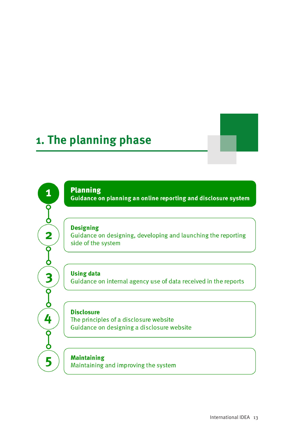# **1. The planning phase**

**Planning** 

 $\mathbf{1}$ 

Ō Ò

 $\overline{\mathbf{2}}$ 

 $\overline{\mathsf{Q}}$ Ò

3

 $\overline{\mathsf{Q}}$ 

Ò

4

 $\overline{\mathsf{P}}$ Ò

5

Guidance on planning an online reporting and disclosure system

#### **Designing**

Guidance on designing, developing and launching the reporting side of the system

**Using data** 

Guidance on internal agency use of data received in the reports

#### **Disclosure**

The principles of a disclosure website Guidance on designing a disclosure website

**Maintaining** Maintaining and improving the system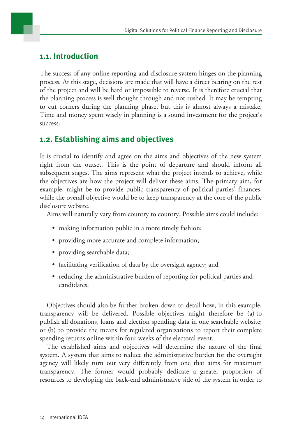# **1.1. Introduction**

The success of any online reporting and disclosure system hinges on the planning process. At this stage, decisions are made that will have a direct bearing on the rest of the project and will be hard or impossible to reverse. It is therefore crucial that the planning process is well thought through and not rushed. It may be tempting to cut corners during the planning phase, but this is almost always a mistake. Time and money spent wisely in planning is a sound investment for the project's success.

# **1.2. Establishing aims and objectives**

It is crucial to identify and agree on the aims and objectives of the new system right from the outset. This is the point of departure and should inform all subsequent stages. The aims represent what the project intends to achieve, while the objectives are how the project will deliver these aims. The primary aim, for example, might be to provide public transparency of political parties' finances, while the overall objective would be to keep transparency at the core of the public disclosure website.

Aims will naturally vary from country to country. Possible aims could include:

- making information public in a more timely fashion;
- providing more accurate and complete information;
- providing searchable data;
- facilitating verification of data by the oversight agency; and
- reducing the administrative burden of reporting for political parties and candidates.

Objectives should also be further broken down to detail how, in this example, transparency will be delivered. Possible objectives might therefore be (a) to publish all donations, loans and election spending data in one searchable website; or (b) to provide the means for regulated organizations to report their complete spending returns online within four weeks of the electoral event.

The established aims and objectives will determine the nature of the final system. A system that aims to reduce the administrative burden for the oversight agency will likely turn out very differently from one that aims for maximum transparency. The former would probably dedicate a greater proportion of resources to developing the back-end administrative side of the system in order to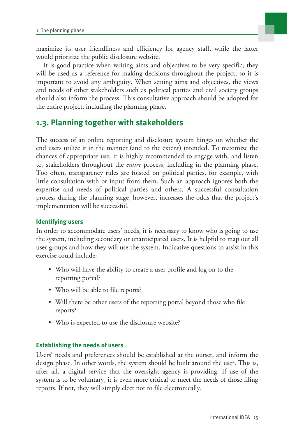

maximize its user friendliness and efficiency for agency staff, while the latter would prioritize the public disclosure website.

It is good practice when writing aims and objectives to be very specific; they will be used as a reference for making decisions throughout the project, so it is important to avoid any ambiguity. When setting aims and objectives, the views and needs of other stakeholders such as political parties and civil society groups should also inform the process. This consultative approach should be adopted for the entire project, including the planning phase.

# **1.3. Planning together with stakeholders**

The success of an online reporting and disclosure system hinges on whether the end users utilize it in the manner (and to the extent) intended. To maximize the chances of appropriate use, it is highly recommended to engage with, and listen to, stakeholders throughout the *entire* process, including in the planning phase. Too often, transparency rules are foisted on political parties, for example, with little consultation with or input from them. Such an approach ignores both the expertise and needs of political parties and others. A successful consultation process during the planning stage, however, increases the odds that the project's implementation will be successful.

# **Identifying users**

In order to accommodate users' needs, it is necessary to know who is going to use the system, including secondary or unanticipated users. It is helpful to map out all user groups and how they will use the system. Indicative questions to assist in this exercise could include:

- Who will have the ability to create a user profile and log on to the reporting portal?
- Who will be able to file reports?
- Will there be other users of the reporting portal beyond those who file reports?
- Who is expected to use the disclosure website?

## **Establishing the needs of users**

Users' needs and preferences should be established at the outset, and inform the design phase. In other words, the system should be built around the user. This is, after all, a digital service that the oversight agency is providing. If use of the system is to be voluntary, it is even more critical to meet the needs of those filing reports. If not, they will simply elect not to file electronically.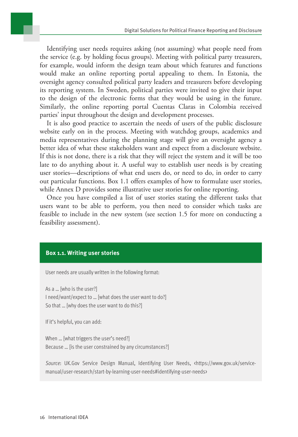Identifying user needs requires asking (not assuming) what people need from the service (e.g. by holding focus groups). Meeting with political party treasurers, for example, would inform the design team about which features and functions would make an online reporting portal appealing to them. In Estonia, the oversight agency consulted political party leaders and treasurers before developing its reporting system. In Sweden, political parties were invited to give their input to the design of the electronic forms that they would be using in the future. Similarly, the online reporting portal Cuentas Claras in Colombia received parties' input throughout the design and development processes.

It is also good practice to ascertain the needs of users of the public disclosure website early on in the process. Meeting with watchdog groups, academics and media representatives during the planning stage will give an oversight agency a better idea of what these stakeholders want and expect from a disclosure website. If this is not done, there is a risk that they will reject the system and it will be too late to do anything about it. A useful way to establish user needs is by creating user stories—descriptions of what end users do, or need to do, in order to carry out particular functions. Box 1.1 offers examples of how to formulate user stories, while Annex D provides some illustrative user stories for online reporting.

Once you have compiled a list of user stories stating the different tasks that users want to be able to perform, you then need to consider which tasks are feasible to include in the new system (see section 1.5 for more on conducting a feasibility assessment).

#### **Box 1.1. Writing user stories**

User needs are usually written in the following format:

As a … [who is the user?] I need/want/expect to … [what does the user want to do?] So that … [why does the user want to do this?]

If it's helpful, you can add:

When ... [what triggers the user's need?] Because … [is the user constrained by any circumstances?]

*Source*: UK.Gov Service Design Manual, Identifying User Needs, <https://www.gov.uk/servicemanual/user-research/start-by-learning-user-needs#identifying-user-needs>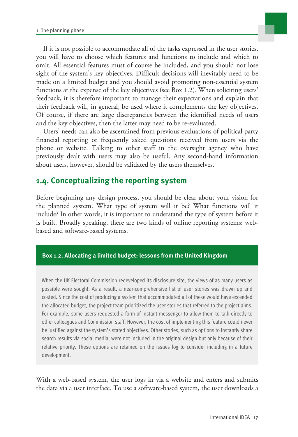

If it is not possible to accommodate all of the tasks expressed in the user stories, you will have to choose which features and functions to include and which to omit. All essential features must of course be included, and you should not lose sight of the system's key objectives. Difficult decisions will inevitably need to be made on a limited budget and you should avoid promoting non-essential system functions at the expense of the key objectives (see Box 1.2). When soliciting users' feedback, it is therefore important to manage their expectations and explain that their feedback will, in general, be used where it complements the key objectives. Of course, if there are large discrepancies between the identified needs of users and the key objectives, then the latter may need to be re-evaluated.

Users' needs can also be ascertained from previous evaluations of political party financial reporting or frequently asked questions received from users via the phone or website. Talking to other staff in the oversight agency who have previously dealt with users may also be useful. Any second-hand information about users, however, should be validated by the users themselves.

# **1.4. Conceptualizing the reporting system**

Before beginning any design process, you should be clear about your vision for the planned system. What type of system will it be? What functions will it include? In other words, it is important to understand the type of system before it is built. Broadly speaking, there are two kinds of online reporting systems: webbased and software-based systems.

## **Box 1.2. Allocating a limited budget: lessons from the United Kingdom**

When the UK Electoral Commission redeveloped its disclosure site, the views of as many users as possible were sought. As a result, a near-comprehensive list of user stories was drawn up and costed. Since the cost of producing a system that accommodated all of these would have exceeded the allocated budget, the project team prioritized the user stories that referred to the project aims. For example, some users requested a form of instant messenger to allow them to talk directly to other colleagues and Commission staff. However, the cost of implementing this feature could never be justified against the system's stated objectives. Other stories, such as options to instantly share search results via social media, were not included in the original design but only because of their relative priority. These options are retained on the issues log to consider including in a future development.

With a web-based system, the user logs in via a website and enters and submits the data via a user interface. To use a software-based system, the user downloads a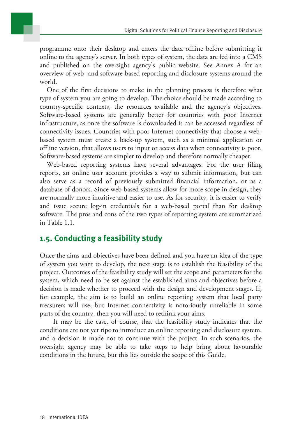programme onto their desktop and enters the data offline before submitting it online to the agency's server. In both types of system, the data are fed into a CMS and published on the oversight agency's public website. See Annex A for an overview of web- and software-based reporting and disclosure systems around the world.

One of the first decisions to make in the planning process is therefore what type of system you are going to develop. The choice should be made according to country-specific contexts, the resources available and the agency's objectives. Software-based systems are generally better for countries with poor Internet infrastructure, as once the software is downloaded it can be accessed regardless of connectivity issues. Countries with poor Internet connectivity that choose a webbased system must create a back-up system, such as a minimal application or offline version, that allows users to input or access data when connectivity is poor. Software-based systems are simpler to develop and therefore normally cheaper.

Web-based reporting systems have several advantages. For the user filing reports, an online user account provides a way to submit information, but can also serve as a record of previously submitted financial information, or as a database of donors. Since web-based systems allow for more scope in design, they are normally more intuitive and easier to use. As for security, it is easier to verify and issue secure log-in credentials for a web-based portal than for desktop software. The pros and cons of the two types of reporting system are summarized in Table 1.1.

# **1.5. Conducting a feasibility study**

Once the aims and objectives have been defined and you have an idea of the type of system you want to develop, the next stage is to establish the feasibility of the project. Outcomes of the feasibility study will set the scope and parameters for the system, which need to be set against the established aims and objectives before a decision is made whether to proceed with the design and development stages. If, for example, the aim is to build an online reporting system that local party treasurers will use, but Internet connectivity is notoriously unreliable in some parts of the country, then you will need to rethink your aims.

 It may be the case, of course, that the feasibility study indicates that the conditions are not yet ripe to introduce an online reporting and disclosure system, and a decision is made not to continue with the project. In such scenarios, the oversight agency may be able to take steps to help bring about favourable conditions in the future, but this lies outside the scope of this Guide.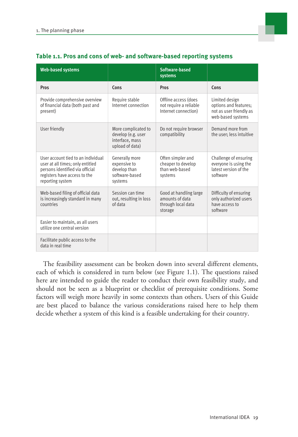| <b>Web-based systems</b>                                                                                                                                      |                                                                                 | Software-based<br>systems                                                  |                                                                                         |
|---------------------------------------------------------------------------------------------------------------------------------------------------------------|---------------------------------------------------------------------------------|----------------------------------------------------------------------------|-----------------------------------------------------------------------------------------|
| Pros                                                                                                                                                          | Cons                                                                            | Pros                                                                       | Cons                                                                                    |
| Provide comprehensive overview<br>of financial data (both past and<br>present)                                                                                | Require stable<br>Internet connection                                           | Offline access (does<br>not require a reliable<br>Internet connection)     | Limited design<br>options and features;<br>not as user friendly as<br>web-based systems |
| User friendly                                                                                                                                                 | More complicated to<br>develop (e.g. user<br>interface, mass<br>upload of data) | Do not require browser<br>compatibility                                    | Demand more from<br>the user: less intuitive                                            |
| User account tied to an individual<br>user at all times; only entitled<br>persons identified via official<br>registers have access to the<br>reporting system | Generally more<br>expensive to<br>develop than<br>software-based<br>systems     | Often simpler and<br>cheaper to develop<br>than web-based<br>systems       | Challenge of ensuring<br>everyone is using the<br>latest version of the<br>software     |
| Web-based filing of official data<br>is increasingly standard in many<br>countries                                                                            | Session can time<br>out, resulting in loss<br>of data                           | Good at handling large<br>amounts of data<br>through local data<br>storage | Difficulty of ensuring<br>only authorized users<br>have access to<br>software           |
| Easier to maintain, as all users<br>utilize one central version                                                                                               |                                                                                 |                                                                            |                                                                                         |
| Facilitate public access to the<br>data in real time                                                                                                          |                                                                                 |                                                                            |                                                                                         |

### **Table 1.1. Pros and cons of web- and software-based reporting systems**

The feasibility assessment can be broken down into several different elements, each of which is considered in turn below (see Figure 1.1). The questions raised here are intended to guide the reader to conduct their own feasibility study, and should not be seen as a blueprint or checklist of prerequisite conditions. Some factors will weigh more heavily in some contexts than others. Users of this Guide are best placed to balance the various considerations raised here to help them decide whether a system of this kind is a feasible undertaking for their country.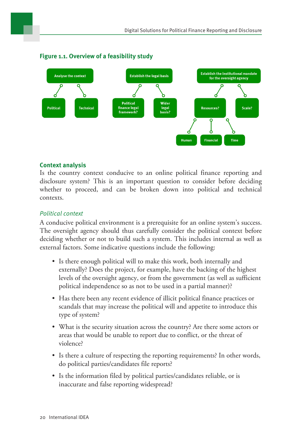

### **Figure 1.1. Overview of a feasibility study**

#### **Context analysis**

Is the country context conducive to an online political finance reporting and disclosure system? This is an important question to consider before deciding whether to proceed, and can be broken down into political and technical contexts.

## Political context

A conducive political environment is a prerequisite for an online system's success. The oversight agency should thus carefully consider the political context before deciding whether or not to build such a system. This includes internal as well as external factors. Some indicative questions include the following:

- Is there enough political will to make this work, both internally and externally? Does the project, for example, have the backing of the highest levels of the oversight agency, or from the government (as well as sufficient political independence so as not to be used in a partial manner)?
- Has there been any recent evidence of illicit political finance practices or scandals that may increase the political will and appetite to introduce this type of system?
- What is the security situation across the country? Are there some actors or areas that would be unable to report due to conflict, or the threat of violence?
- Is there a culture of respecting the reporting requirements? In other words, do political parties/candidates file reports?
- Is the information filed by political parties/candidates reliable, or is inaccurate and false reporting widespread?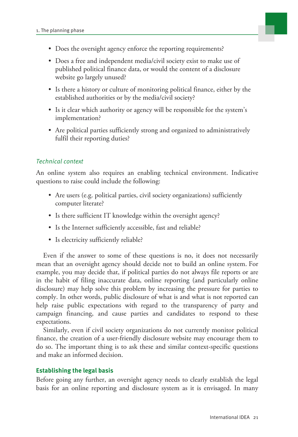

- Does the oversight agency enforce the reporting requirements?
- Does a free and independent media/civil society exist to make use of published political finance data, or would the content of a disclosure website go largely unused?
- Is there a history or culture of monitoring political finance, either by the established authorities or by the media/civil society?
- Is it clear which authority or agency will be responsible for the system's implementation?
- Are political parties sufficiently strong and organized to administratively fulfil their reporting duties?

## Technical context

An online system also requires an enabling technical environment. Indicative questions to raise could include the following:

- Are users (e.g. political parties, civil society organizations) sufficiently computer literate?
- Is there sufficient IT knowledge within the oversight agency?
- Is the Internet sufficiently accessible, fast and reliable?
- Is electricity sufficiently reliable?

Even if the answer to some of these questions is no, it does not necessarily mean that an oversight agency should decide not to build an online system. For example, you may decide that, if political parties do not always file reports or are in the habit of filing inaccurate data, online reporting (and particularly online disclosure) may help solve this problem by increasing the pressure for parties to comply. In other words, public disclosure of what is and what is not reported can help raise public expectations with regard to the transparency of party and campaign financing, and cause parties and candidates to respond to these expectations.

Similarly, even if civil society organizations do not currently monitor political finance, the creation of a user-friendly disclosure website may encourage them to do so. The important thing is to ask these and similar context-specific questions and make an informed decision.

## **Establishing the legal basis**

Before going any further, an oversight agency needs to clearly establish the legal basis for an online reporting and disclosure system as it is envisaged. In many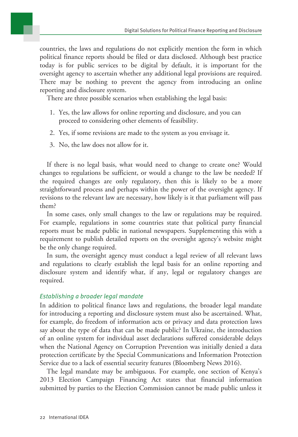countries, the laws and regulations do not explicitly mention the form in which political finance reports should be filed or data disclosed. Although best practice today is for public services to be digital by default, it is important for the oversight agency to ascertain whether any additional legal provisions are required. There may be nothing to prevent the agency from introducing an online reporting and disclosure system.

There are three possible scenarios when establishing the legal basis:

- 1. Yes, the law allows for online reporting and disclosure, and you can proceed to considering other elements of feasibility.
- 2. Yes, if some revisions are made to the system as you envisage it.
- 3. No, the law does not allow for it.

If there is no legal basis, what would need to change to create one? Would changes to regulations be sufficient, or would a change to the law be needed? If the required changes are only regulatory, then this is likely to be a more straightforward process and perhaps within the power of the oversight agency. If revisions to the relevant law are necessary, how likely is it that parliament will pass them?

In some cases, only small changes to the law or regulations may be required. For example, regulations in some countries state that political party financial reports must be made public in national newspapers. Supplementing this with a requirement to publish detailed reports on the oversight agency's website might be the only change required.

In sum, the oversight agency must conduct a legal review of all relevant laws and regulations to clearly establish the legal basis for an online reporting and disclosure system and identify what, if any, legal or regulatory changes are required.

#### Establishing a broader legal mandate

In addition to political finance laws and regulations, the broader legal mandate for introducing a reporting and disclosure system must also be ascertained. What, for example, do freedom of information acts or privacy and data protection laws say about the type of data that can be made public? In Ukraine, the introduction of an online system for individual asset declarations suffered considerable delays when the National Agency on Corruption Prevention was initially denied a data protection certificate by the Special Communications and Information Protection Service due to a lack of essential security features (Bloomberg News 2016).

The legal mandate may be ambiguous. For example, one section of Kenya's 2013 Election Campaign Financing Act states that financial information submitted by parties to the Election Commission cannot be made public unless it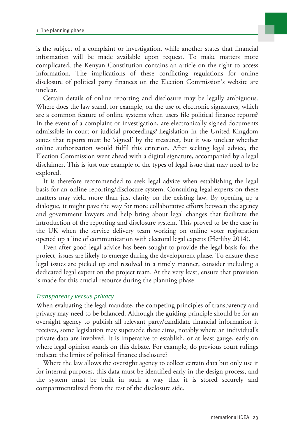is the subject of a complaint or investigation, while another states that financial information will be made available upon request. To make matters more complicated, the Kenyan Constitution contains an article on the right to access information. The implications of these conflicting regulations for online disclosure of political party finances on the Election Commission's website are unclear.

Certain details of online reporting and disclosure may be legally ambiguous. Where does the law stand, for example, on the use of electronic signatures, which are a common feature of online systems when users file political finance reports? In the event of a complaint or investigation, are electronically signed documents admissible in court or judicial proceedings? Legislation in the United Kingdom states that reports must be 'signed' by the treasurer, but it was unclear whether online authorization would fulfil this criterion. After seeking legal advice, the Election Commission went ahead with a digital signature, accompanied by a legal disclaimer. This is just one example of the types of legal issue that may need to be explored.

It is therefore recommended to seek legal advice when establishing the legal basis for an online reporting/disclosure system. Consulting legal experts on these matters may yield more than just clarity on the existing law. By opening up a dialogue, it might pave the way for more collaborative efforts between the agency and government lawyers and help bring about legal changes that facilitate the introduction of the reporting and disclosure system. This proved to be the case in the UK when the service delivery team working on online voter registration opened up a line of communication with electoral legal experts (Herlihy 2014).

Even after good legal advice has been sought to provide the legal basis for the project, issues are likely to emerge during the development phase. To ensure these legal issues are picked up and resolved in a timely manner, consider including a dedicated legal expert on the project team. At the very least, ensure that provision is made for this crucial resource during the planning phase.

#### Transparency versus privacy

When evaluating the legal mandate, the competing principles of transparency and privacy may need to be balanced. Although the guiding principle should be for an oversight agency to publish all relevant party/candidate financial information it receives, some legislation may supersede these aims, notably where an individual's private data are involved. It is imperative to establish, or at least gauge, early on where legal opinion stands on this debate. For example, do previous court rulings indicate the limits of political finance disclosure?

Where the law allows the oversight agency to collect certain data but only use it for internal purposes, this data must be identified early in the design process, and the system must be built in such a way that it is stored securely and compartmentalized from the rest of the disclosure side.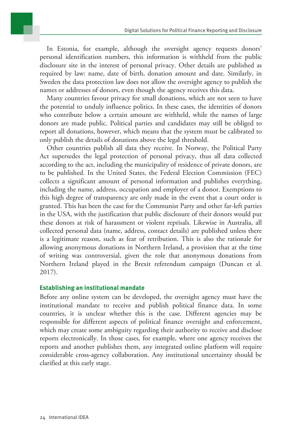In Estonia, for example, although the oversight agency requests donors' personal identification numbers, this information is withheld from the public disclosure site in the interest of personal privacy. Other details are published as required by law: name, date of birth, donation amount and date. Similarly, in Sweden the data protection law does not allow the oversight agency to publish the names or addresses of donors, even though the agency receives this data.

Many countries favour privacy for small donations, which are not seen to have the potential to unduly influence politics. In these cases, the identities of donors who contribute below a certain amount are withheld, while the names of large donors are made public. Political parties and candidates may still be obliged to report all donations, however, which means that the system must be calibrated to only publish the details of donations above the legal threshold.

Other countries publish all data they receive. In Norway, the Political Party Act supersedes the legal protection of personal privacy, thus all data collected according to the act, including the municipality of residence of private donors, are to be published. In the United States, the Federal Election Commission (FEC) collects a significant amount of personal information and publishes everything, including the name, address, occupation and employer of a donor. Exemptions to this high degree of transparency are only made in the event that a court order is granted. This has been the case for the Communist Party and other far-left parties in the USA, with the justification that public disclosure of their donors would put these donors at risk of harassment or violent reprisals. Likewise in Australia, all collected personal data (name, address, contact details) are published unless there is a legitimate reason, such as fear of retribution. This is also the rationale for allowing anonymous donations in Northern Ireland, a provision that at the time of writing was controversial, given the role that anonymous donations from Northern Ireland played in the Brexit referendum campaign (Duncan et al. 2017).

#### **Establishing an institutional mandate**

Before any online system can be developed, the oversight agency must have the institutional mandate to receive and publish political finance data. In some countries, it is unclear whether this is the case. Different agencies may be responsible for different aspects of political finance oversight and enforcement, which may create some ambiguity regarding their authority to receive and disclose reports electronically. In those cases, for example, where one agency receives the reports and another publishes them, any integrated online platform will require considerable cross-agency collaboration. Any institutional uncertainty should be clarified at this early stage.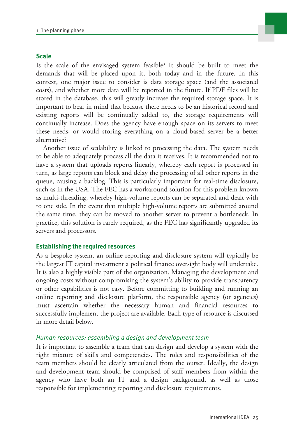#### **Scale Scale Scale Scale Scale**

Is the scale of the envisaged system feasible? It should be built to meet the demands that will be placed upon it, both today and in the future. In this context, one major issue to consider is data storage space (and the associated costs), and whether more data will be reported in the future. If PDF files will be stored in the database, this will greatly increase the required storage space. It is important to bear in mind that because there needs to be an historical record and existing reports will be continually added to, the storage requirements will continually increase. Does the agency have enough space on its servers to meet these needs, or would storing everything on a cloud-based server be a better alternative?

Another issue of scalability is linked to processing the data. The system needs to be able to adequately process all the data it receives. It is recommended not to have a system that uploads reports linearly, whereby each report is processed in turn, as large reports can block and delay the processing of all other reports in the queue, causing a backlog. This is particularly important for real-time disclosure, such as in the USA. The FEC has a workaround solution for this problem known as multi-threading, whereby high-volume reports can be separated and dealt with to one side. In the event that multiple high-volume reports are submitted around the same time, they can be moved to another server to prevent a bottleneck. In practice, this solution is rarely required, as the FEC has significantly upgraded its servers and processors.

#### **Establishing the required resources**

As a bespoke system, an online reporting and disclosure system will typically be the largest IT capital investment a political finance oversight body will undertake. It is also a highly visible part of the organization. Managing the development and ongoing costs without compromising the system's ability to provide transparency or other capabilities is not easy. Before committing to building and running an online reporting and disclosure platform, the responsible agency (or agencies) must ascertain whether the necessary human and financial resources to successfully implement the project are available. Each type of resource is discussed in more detail below.

### Human resources: assembling a design and development team

It is important to assemble a team that can design and develop a system with the right mixture of skills and competencies. The roles and responsibilities of the team members should be clearly articulated from the outset. Ideally, the design and development team should be comprised of staff members from within the agency who have both an IT and a design background, as well as those responsible for implementing reporting and disclosure requirements.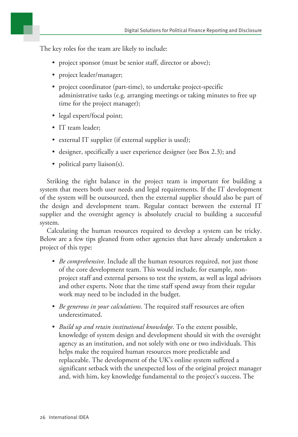

The key roles for the team are likely to include:

- project sponsor (must be senior staff, director or above);
- project leader/manager;
- project coordinator (part-time), to undertake project-specific administrative tasks (e.g. arranging meetings or taking minutes to free up time for the project manager);
- legal expert/focal point;
- IT team leader;
- external IT supplier (if external supplier is used);
- designer, specifically a user experience designer (see Box 2.3); and
- political party liaison(s).

Striking the right balance in the project team is important for building a system that meets both user needs and legal requirements. If the IT development of the system will be outsourced, then the external supplier should also be part of the design and development team. Regular contact between the external IT supplier and the oversight agency is absolutely crucial to building a successful system.

Calculating the human resources required to develop a system can be tricky. Below are a few tips gleaned from other agencies that have already undertaken a project of this type:

- *Be comprehensive*. Include all the human resources required, not just those of the core development team. This would include, for example, nonproject staff and external persons to test the system, as well as legal advisors and other experts. Note that the time staff spend away from their regular work may need to be included in the budget.
- *Be generous in your calculations*. The required staff resources are often underestimated.
- *Build up and retain institutional knowledge*. To the extent possible, knowledge of system design and development should sit with the oversight agency as an institution, and not solely with one or two individuals. This helps make the required human resources more predictable and replaceable. The development of the UK's online system suffered a significant setback with the unexpected loss of the original project manager and, with him, key knowledge fundamental to the project's success. The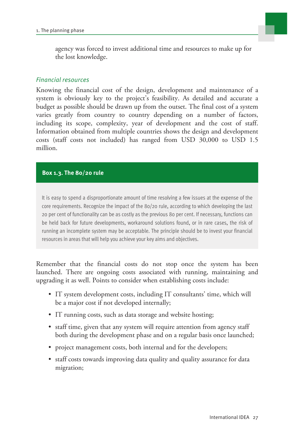

agency was forced to invest additional time and resources to make up for the lost knowledge.

### Financial resources

Knowing the financial cost of the design, development and maintenance of a system is obviously key to the project's feasibility. As detailed and accurate a budget as possible should be drawn up from the outset. The final cost of a system varies greatly from country to country depending on a number of factors, including its scope, complexity, year of development and the cost of staff. Information obtained from multiple countries shows the design and development costs (staff costs not included) has ranged from USD 30,000 to USD 1.5 million.

#### **Box 1.3. The 80/20 rule**

It is easy to spend a disproportionate amount of time resolving a few issues at the expense of the core requirements. Recognize the impact of the 80/20 rule, according to which developing the last 20 per cent of functionality can be as costly as the previous 80 per cent. If necessary, functions can be held back for future developments, workaround solutions found, or in rare cases, the risk of running an incomplete system may be acceptable. The principle should be to invest your financial resources in areas that will help you achieve your key aims and objectives.

Remember that the financial costs do not stop once the system has been launched. There are ongoing costs associated with running, maintaining and upgrading it as well. Points to consider when establishing costs include:

- IT system development costs, including IT consultants' time, which will be a major cost if not developed internally;
- IT running costs, such as data storage and website hosting;
- staff time, given that any system will require attention from agency staff both during the development phase and on a regular basis once launched;
- project management costs, both internal and for the developers;
- staff costs towards improving data quality and quality assurance for data migration;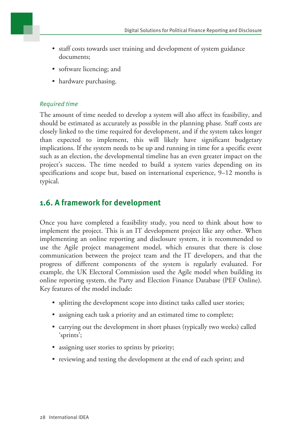

- staff costs towards user training and development of system guidance documents;
- software licencing; and
- hardware purchasing.

## Required time

The amount of time needed to develop a system will also affect its feasibility, and should be estimated as accurately as possible in the planning phase. Staff costs are closely linked to the time required for development, and if the system takes longer than expected to implement, this will likely have significant budgetary implications. If the system needs to be up and running in time for a specific event such as an election, the developmental timeline has an even greater impact on the project's success. The time needed to build a system varies depending on its specifications and scope but, based on international experience, 9–12 months is typical.

# **1.6. A framework for development**

Once you have completed a feasibility study, you need to think about how to implement the project. This is an IT development project like any other. When implementing an online reporting and disclosure system, it is recommended to use the Agile project management model, which ensures that there is close communication between the project team and the IT developers, and that the progress of different components of the system is regularly evaluated. For example, the UK Electoral Commission used the Agile model when building its online reporting system, the Party and Election Finance Database (PEF Online). Key features of the model include:

- splitting the development scope into distinct tasks called user stories;
- assigning each task a priority and an estimated time to complete;
- carrying out the development in short phases (typically two weeks) called 'sprints';
- assigning user stories to sprints by priority;
- reviewing and testing the development at the end of each sprint; and